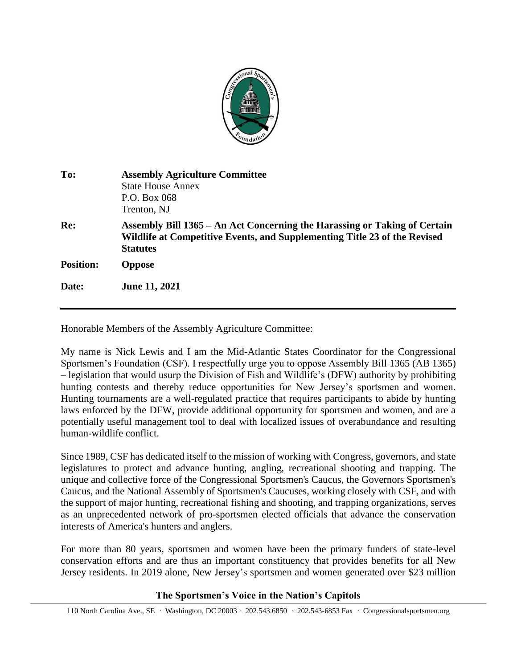

| To:              | <b>Assembly Agriculture Committee</b><br><b>State House Annex</b><br>P.O. Box 068<br>Trenton, NJ                                                                          |
|------------------|---------------------------------------------------------------------------------------------------------------------------------------------------------------------------|
| Re:              | Assembly Bill 1365 – An Act Concerning the Harassing or Taking of Certain<br>Wildlife at Competitive Events, and Supplementing Title 23 of the Revised<br><b>Statutes</b> |
| <b>Position:</b> | <b>Oppose</b>                                                                                                                                                             |
| Date:            | <b>June 11, 2021</b>                                                                                                                                                      |

Honorable Members of the Assembly Agriculture Committee:

My name is Nick Lewis and I am the Mid-Atlantic States Coordinator for the Congressional Sportsmen's Foundation (CSF). I respectfully urge you to oppose Assembly Bill 1365 (AB 1365) – legislation that would usurp the Division of Fish and Wildlife's (DFW) authority by prohibiting hunting contests and thereby reduce opportunities for New Jersey's sportsmen and women. Hunting tournaments are a well-regulated practice that requires participants to abide by hunting laws enforced by the DFW, provide additional opportunity for sportsmen and women, and are a potentially useful management tool to deal with localized issues of overabundance and resulting human-wildlife conflict.

Since 1989, CSF has dedicated itself to the mission of working with Congress, governors, and state legislatures to protect and advance hunting, angling, recreational shooting and trapping. The unique and collective force of the Congressional Sportsmen's Caucus, the Governors Sportsmen's Caucus, and the National Assembly of Sportsmen's Caucuses, working closely with CSF, and with the support of major hunting, recreational fishing and shooting, and trapping organizations, serves as an unprecedented network of pro-sportsmen elected officials that advance the conservation interests of America's hunters and anglers.

For more than 80 years, sportsmen and women have been the primary funders of state-level conservation efforts and are thus an important constituency that provides benefits for all New Jersey residents. In 2019 alone, New Jersey's sportsmen and women generated over \$23 million

## **The Sportsmen's Voice in the Nation's Capitols**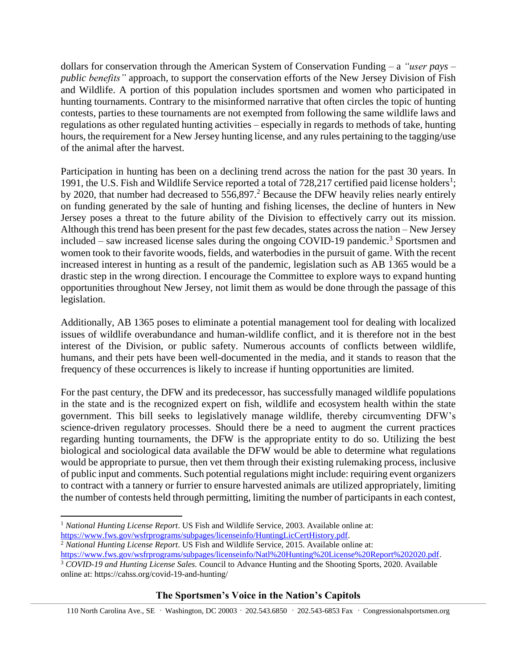dollars for conservation through the American System of Conservation Funding – a *"user pays – public benefits"* approach, to support the conservation efforts of the New Jersey Division of Fish and Wildlife. A portion of this population includes sportsmen and women who participated in hunting tournaments. Contrary to the misinformed narrative that often circles the topic of hunting contests, parties to these tournaments are not exempted from following the same wildlife laws and regulations as other regulated hunting activities – especially in regards to methods of take, hunting hours, the requirement for a New Jersey hunting license, and any rules pertaining to the tagging/use of the animal after the harvest.

Participation in hunting has been on a declining trend across the nation for the past 30 years. In 1991, the U.S. Fish and Wildlife Service reported a total of 728,217 certified paid license holders<sup>1</sup>; by 2020, that number had decreased to  $556,897$ .<sup>2</sup> Because the DFW heavily relies nearly entirely on funding generated by the sale of hunting and fishing licenses, the decline of hunters in New Jersey poses a threat to the future ability of the Division to effectively carry out its mission. Although this trend has been present for the past few decades, states across the nation – New Jersey included – saw increased license sales during the ongoing COVID-19 pandemic.<sup>3</sup> Sportsmen and women took to their favorite woods, fields, and waterbodies in the pursuit of game. With the recent increased interest in hunting as a result of the pandemic, legislation such as AB 1365 would be a drastic step in the wrong direction. I encourage the Committee to explore ways to expand hunting opportunities throughout New Jersey, not limit them as would be done through the passage of this legislation.

Additionally, AB 1365 poses to eliminate a potential management tool for dealing with localized issues of wildlife overabundance and human-wildlife conflict, and it is therefore not in the best interest of the Division, or public safety. Numerous accounts of conflicts between wildlife, humans, and their pets have been well-documented in the media, and it stands to reason that the frequency of these occurrences is likely to increase if hunting opportunities are limited.

For the past century, the DFW and its predecessor, has successfully managed wildlife populations in the state and is the recognized expert on fish, wildlife and ecosystem health within the state government. This bill seeks to legislatively manage wildlife, thereby circumventing DFW's science-driven regulatory processes. Should there be a need to augment the current practices regarding hunting tournaments, the DFW is the appropriate entity to do so. Utilizing the best biological and sociological data available the DFW would be able to determine what regulations would be appropriate to pursue, then vet them through their existing rulemaking process, inclusive of public input and comments. Such potential regulations might include: requiring event organizers to contract with a tannery or furrier to ensure harvested animals are utilized appropriately, limiting the number of contests held through permitting, limiting the number of participants in each contest,

 $\overline{\phantom{a}}$ 

## **The Sportsmen's Voice in the Nation's Capitols**

110 North Carolina Ave., SE **.** Washington, DC 20003 **.** 202.543.6850 **.** 202.543-6853 Fax **.** Congressionalsportsmen.org

<sup>1</sup> *National Hunting License Report*. US Fish and Wildlife Service, 2003. Available online at: [https://www.fws.gov/wsfrprograms/subpages/licenseinfo/HuntingLicCertHistory.pdf.](https://www.fws.gov/wsfrprograms/subpages/licenseinfo/HuntingLicCertHistory.pdf)

<sup>2</sup> *National Hunting License Report*. US Fish and Wildlife Service, 2015. Available online at: [https://www.fws.gov/wsfrprograms/subpages/licenseinfo/Natl%20Hunting%20License%20Report%202020.pdf.](https://www.fws.gov/wsfrprograms/subpages/licenseinfo/Natl%20Hunting%20License%20Report%202020.pdf)

<sup>3</sup> *COVID-19 and Hunting License Sales.* Council to Advance Hunting and the Shooting Sports, 2020. Available

online at: https://cahss.org/covid-19-and-hunting/